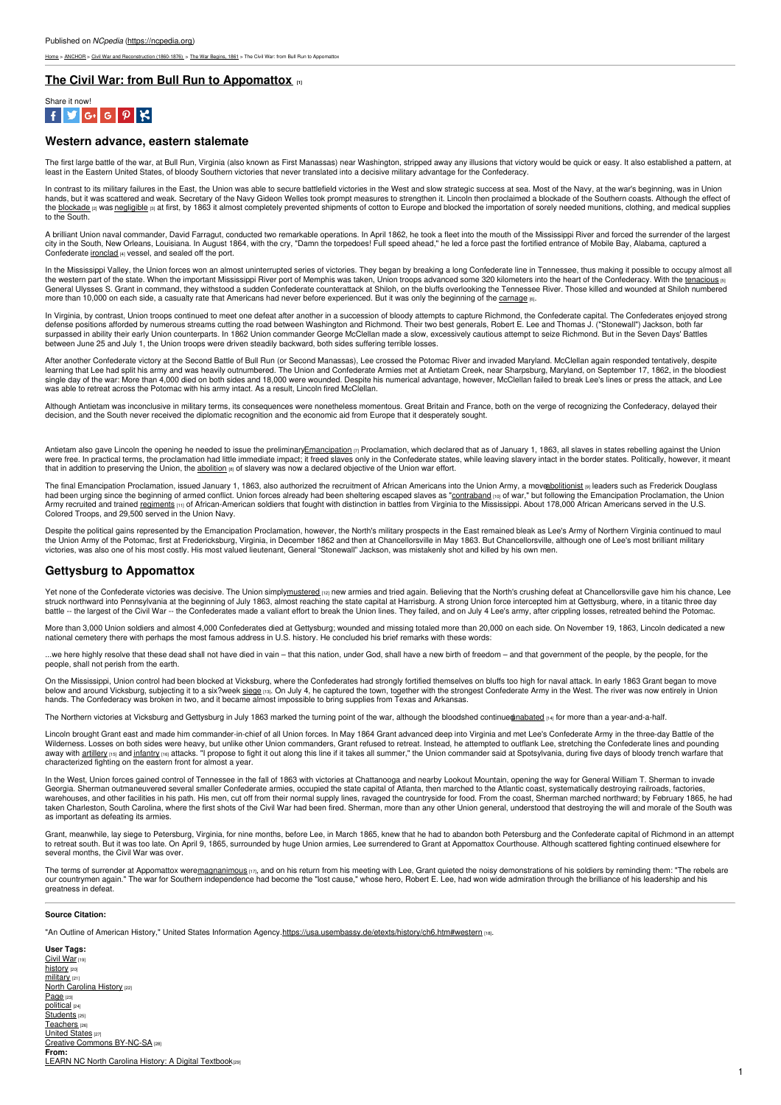me > [ANCHOR](https://ncpedia.org/anchor/anchor) > Civil War and [Reconstruction](https://ncpedia.org/anchor/civil-war-and-reconstruction) (1860-1876) > The War [Begins,](https://ncpedia.org/anchor/war-begins-1861) 1861 > The Civil War: from Bull Run to App

# **The Civil War: from Bull Run to [Appomattox](https://ncpedia.org/anchor/civil-war-bull-run) [1]**



# **Western advance, eastern stalemate**

The first large battle of the war, at Bull Run, Virginia (also known as First Manassas) near Washington, stripped away any illusions that victory would be quick or easy. It also established a pattern, at least in the Eastern United States, of bloody Southern victories that never translated into a decisive military advantage for the Confederacy.

In contrast to its military failures in the East, the Union was able to secure battlefield victories in the West and slow strategic success at sea. Most of the Navy, at the war's beginning, was in Union hands, but it was scattered and weak. Secretary of the Navy Gideon Welles took prompt measures to strengthen it. Lincoln then proclaimed a [blockade](https://ncpedia.org/glossary/blockade) of the Southern coasts. Although the effect of<br>the <u>blockade ⊠</u> was <u>negl</u> to the South.

A brilliant Union naval commander, David [Farragut,](http://www.social9.com) conducted two remarkable operations. In April 1862, he took a fleet into the mouth of the Mississippi River and forced the surrender of the largest city in the South, New Orleans, Louisiana. In August 1864, with the cry, "Damn the torpedoes! Full speed ahead," he led a force past the fortified entrance of Mobile Bay, Alabama, captured a force past the fortified entran Confederate [ironclad](https://ncpedia.org/glossary/ironclad) [4] vessel, and sealed off the port.

In the Mississippi Valley, the Union forces won an almost uninterrupted series of victories. They began by breaking a long Confederate line in Tennessee, thus making it possible to occupy almost all<br>the western part of the General Ulysses S. Grant in command, they withstood a sudden Confederate counterattack at Shiloh, on the bluffs overlooking the Tennessee River. Those killed and wounded at Shiloh numbered<br>more than 10,000 on each side, a

In Virginia, by contrast, Union troops continued to meet one defeat after another in a succession of bloody attempts to capture Richmond, the Confederate capital. The Confederates enjoyed strong<br>defense positions afforded surpassed in ability their early Union counterparts. In 1862 Union commander George McClellan made a slow, excessively cautious attempt to seize Richmond. But in the Seven Days' Battles between June 25 and July 1, the Union troops were driven steadily backward, both sides suffering terrible losses.

After another Confederate victory at the Second Battle of Bull Run (or Second Manassas), Lee crossed the Potomac River and invaded Maryland. McClellan again responded tentatively, despite<br>learning that Lee had split his ar was able to retreat across the Potomac with his army intact. As a result, Lincoln fired McClellan.

Although Antietam was inconclusive in military terms, its consequences were nonetheless momentous. Great Britain and France, both on the verge of recognizing the Confederacy, delayed their decision, and the South never received the diplomatic recognition and the economic aid from Europe that it desperately sought.

Antietam also gave Lincoln the opening he needed to issue the preliminar[yEmancipation](https://ncpedia.org/glossary/emancipation) [7] Proclamation, which declared that as of January 1, 1863, all slaves in states rebelling against the Union were free. In practical terms, the proclamation had little immediate impact; it freed slaves only in the Confederate states, while leaving slavery intact in the border states. Politically, however, it meant<br>that in additio

The final Emancipation Proclamation, issued January 1, 1863, also authorized the recruitment of African Americans into the Union Army, a mov<u>ebolitionist</u> leaders such as Frederick Douglass<br>had been urging since the beg Colored Troops, and 29,500 served in the Union Navy.

Despite the political gains represented by the Emancipation Proclamation, however, the North's military prospects in the East remained bleak as Lee's Army of Northern Virginia continued to maul the Union Army of the Potomac, first at Fredericksburg, Virginia, in December 1862 and then at Chancellorsville in May 1863. But Chancellorsville, although one of Lee's most brilliant military victories, was also one of his most costly. His most valued lieutenant, General "Stonewall" Jackson, was mistakenly shot and killed by his own men.

## **Gettysburg to Appomattox**

Yet none of the Confederate victories was decisive. The Union simply<u>mustered na</u> new armies and tried again. Believing that the North's crushing defeat at Chancellorsville gave him his chance, Lee<br>struck northward into Pe battle -- the largest of the Civil War -- the Confederates made a valiant effort to break the Union lines. They failed, and on July 4 Lee's army, after crippling losses, retreated behind the Potomac.

More than 3,000 Union soldiers and almost 4,000 Confederates died at Gettysburg; wounded and missing totaled more than 20,000 on each side. On November 19, 1863, Lincoln dedicated a new<br>national cemetery there with perhaps

...we here highly resolve that these dead shall not have died in vain – that this nation, under God, shall have a new birth of freedom – and that government of the people, by the people, for the people, shall not perish from the earth.

On the Mississippi, Union control had been blocked at Vicksburg, where the Confederates had strongly fortified themselves on bluffs too high for naval attack. In early 1863 Grant began to move below and around Vicksburg, subjecting it to a six?week <u>[siege](https://ncpedia.org/glossary/siege) na.</u> On July 4, he captured the town, together with the strongest Confederate Army in the West. The river was now entirely in Union<br>hands. The Confederacy was

The Northern victories at Vicksburg and Gettysburg in July 1863 marked the turning point of the war, although the bloodshed continued nabated [14] for more than a year-and-a-half.

Lincoln brought Grant east and made him commander-in-chief of all Union forces. In May 1864 Grant advanced deep into Virginia and met Lee's Confederate Army in the three-day Battle of the Wilderness. Losses on both sides were heavy, but unlike other Union commanders, Grant refused to retreat. Instead, he attempted to outflank Lee, stretching the Confederate lines and pounding<br>away with <u>[artillery](https://ncpedia.org/glossary/artillery)na and inf</u> characterized fighting on the eastern front for almost a year.

In the West, Union forces gained control of Tennessee in the fall of 1863 with victories at Chattanooga and nearby Lookout Mountain, opening the way for General William T. Sherman to invade<br>Georgia. Sherman outmaneuvered s warehouses, and other facilities in his path. His men, cut off from their normal supply lines, ravaged the countryside for food. From the coast, Sherman marched northward; by February 1865, he had taken Charleston, South Carolina, where the first shots of the Civil War had been fired. Sherman, more than any other Union general, understood that destroying the will and morale of the South was as important as defeating its armies.

Grant, meanwhile, lay siege to Petersburg, Virginia, for nine months, before Lee, in March 1865, knew that he had to abandon both Petersburg and the Confederate capital of Richmond in an attempt<br>to retreat south. But it wa several months, the Civil War was over.

The terms of surrender at Appomattox were[magnanimous](https://ncpedia.org/glossary/magnanimous) (17), and on his return from his meeting with Lee, Grant quieted the noisy demonstrations of his soldiers by reminding them: "The rebels are our countrymen again." The war for Southern independence had become the "lost cause," whose hero, Robert E. Lee, had won wide admiration through the brilliance of his leadership and his greatness in defeat.

### **Source Citation:**

"An Outline of American History," United States Information Agency.<https://usa.usembassy.de/etexts/history/ch6.htm#western> [18].

**User Tags:** [Civil](https://ncpedia.org/category/user-tags/civil-war) War [19] [history](https://ncpedia.org/category/user-tags/history) [20] [military](https://ncpedia.org/category/user-tags/military)  $_{21}$ North [Carolina](https://ncpedia.org/category/user-tags/north-carolina-6) History (22) [Page](https://ncpedia.org/category/user-tags/page) <sub>[23]</sub> [political](https://ncpedia.org/category/user-tags/political-2) [24] [Students](https://ncpedia.org/category/user-tags/students) [25] [Teachers](https://ncpedia.org/category/user-tags/teachers) (26) [United](https://ncpedia.org/category/user-tags/united-states) States [27] Creative Commons [BY-NC-SA](https://ncpedia.org/category/user-tags/creative-commons) [28] **From:** LEARN NC North Carolina History: A Digital [Textbook](https://ncpedia.org/category/entry-source/learn-nc)(29)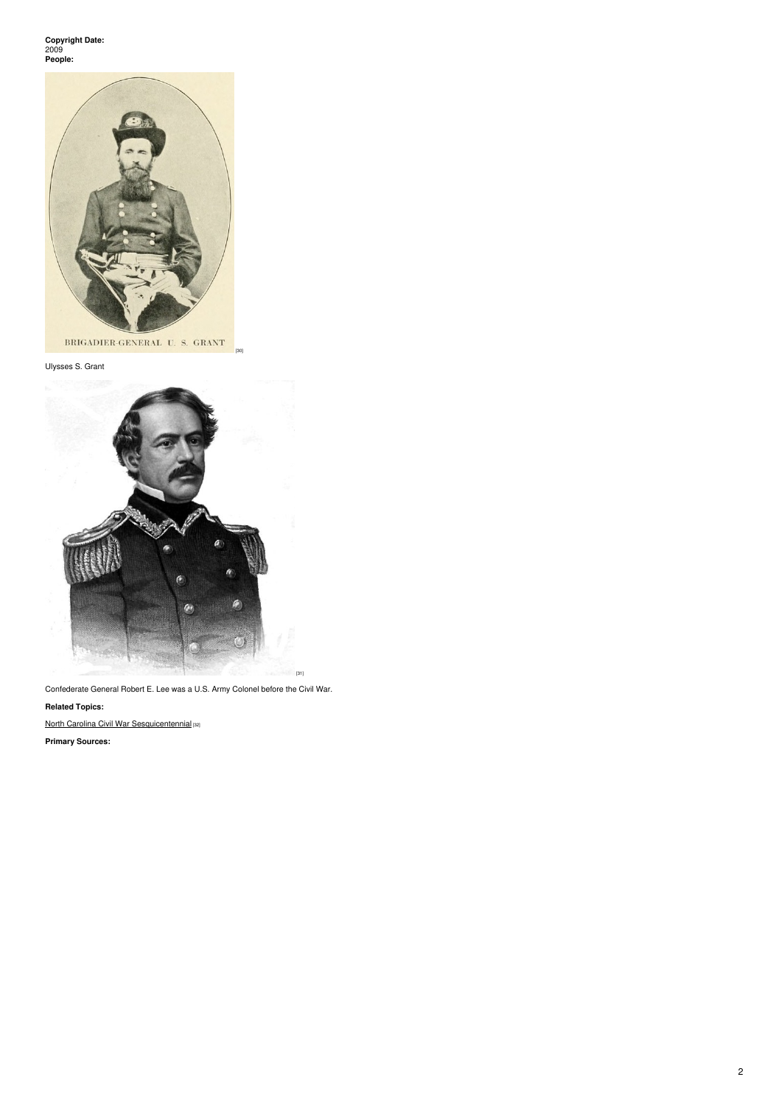**Copyright Date:** 2009 **People:**



BRIGADIER-GENERAL U. S. GRANT [30]

Ulysses S. Grant



Confederate General Robert E. Lee was a U.S. Army Colonel before the Civil War.

## **Related Topics:**

North Carolina Civil War [Sesquicentennial](https://www.ncdcr.gov/about/special-programs/civil-war-sesquicentennial) [32]

**Primary Sources:**